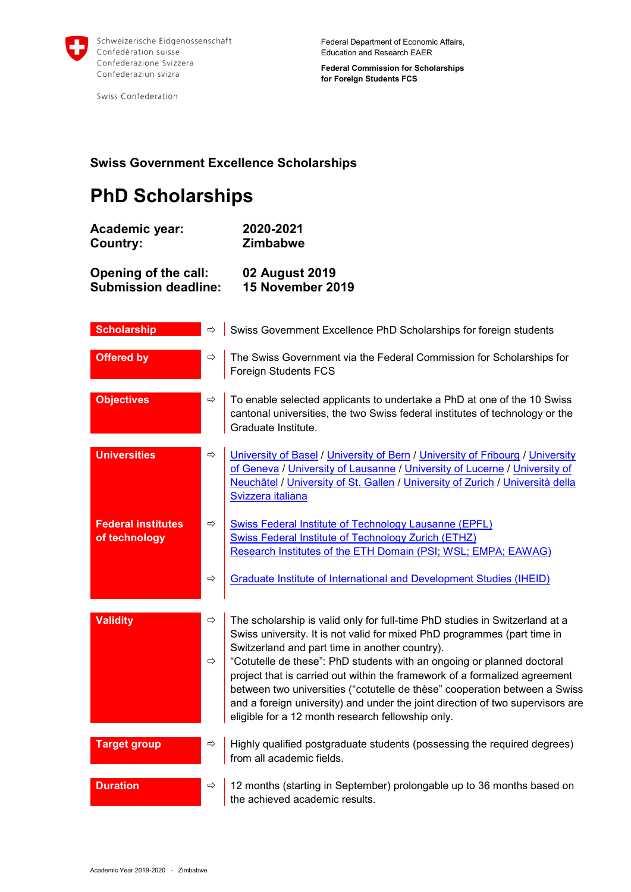

Swiss Confederation

**Federal Commission for Scholarships for Foreign Students FCS**

## **Swiss Government Excellence Scholarships**

## **PhD Scholarships**

| <b>Academic year:</b>       | 2020-2021        |
|-----------------------------|------------------|
| Country:                    | <b>Zimbabwe</b>  |
| Opening of the call:        | 02 August 2019   |
| <b>Submission deadline:</b> | 15 November 2019 |

| <b>Scholarship</b>                         | ⇨                              | Swiss Government Excellence PhD Scholarships for foreign students                                                                                                                                                                                                                                                                                                                                                                                                                                                                                                                      |
|--------------------------------------------|--------------------------------|----------------------------------------------------------------------------------------------------------------------------------------------------------------------------------------------------------------------------------------------------------------------------------------------------------------------------------------------------------------------------------------------------------------------------------------------------------------------------------------------------------------------------------------------------------------------------------------|
| <b>Offered by</b>                          | $\Rightarrow$                  | The Swiss Government via the Federal Commission for Scholarships for<br>Foreign Students FCS                                                                                                                                                                                                                                                                                                                                                                                                                                                                                           |
| <b>Objectives</b>                          | $\Rightarrow$                  | To enable selected applicants to undertake a PhD at one of the 10 Swiss<br>cantonal universities, the two Swiss federal institutes of technology or the<br>Graduate Institute.                                                                                                                                                                                                                                                                                                                                                                                                         |
| <b>Universities</b>                        | $\Rightarrow$                  | University of Basel / University of Bern / University of Fribourg / University<br>of Geneva / University of Lausanne / University of Lucerne / University of<br>Neuchâtel / University of St. Gallen / University of Zurich / Università della<br>Svizzera italiana                                                                                                                                                                                                                                                                                                                    |
| <b>Federal institutes</b><br>of technology | $\Rightarrow$<br>$\Rightarrow$ | <b>Swiss Federal Institute of Technology Lausanne (EPFL)</b><br>Swiss Federal Institute of Technology Zurich (ETHZ)<br>Research Institutes of the ETH Domain (PSI; WSL; EMPA; EAWAG)<br><b>Graduate Institute of International and Development Studies (IHEID)</b>                                                                                                                                                                                                                                                                                                                     |
|                                            |                                |                                                                                                                                                                                                                                                                                                                                                                                                                                                                                                                                                                                        |
| <b>Validity</b>                            | ⇨<br>⇨                         | The scholarship is valid only for full-time PhD studies in Switzerland at a<br>Swiss university. It is not valid for mixed PhD programmes (part time in<br>Switzerland and part time in another country).<br>"Cotutelle de these": PhD students with an ongoing or planned doctoral<br>project that is carried out within the framework of a formalized agreement<br>between two universities ("cotutelle de thèse" cooperation between a Swiss<br>and a foreign university) and under the joint direction of two supervisors are<br>eligible for a 12 month research fellowship only. |
| <b>Target group</b>                        | ⇨                              | Highly qualified postgraduate students (possessing the required degrees)<br>from all academic fields.                                                                                                                                                                                                                                                                                                                                                                                                                                                                                  |
| <b>Duration</b>                            | ⇨                              | 12 months (starting in September) prolongable up to 36 months based on<br>the achieved academic results.                                                                                                                                                                                                                                                                                                                                                                                                                                                                               |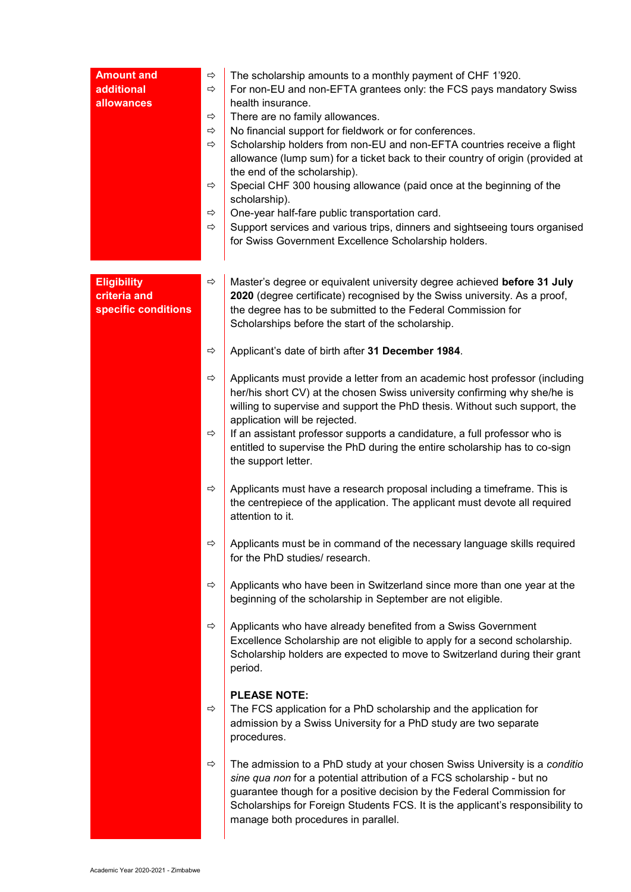| <b>Amount and</b><br>additional<br>allowances             | ⇨<br>⇨<br>⇨<br>⇨<br>⇨<br>⇨<br>⇨<br>⇨ | The scholarship amounts to a monthly payment of CHF 1'920.<br>For non-EU and non-EFTA grantees only: the FCS pays mandatory Swiss<br>health insurance.<br>There are no family allowances.<br>No financial support for fieldwork or for conferences.<br>Scholarship holders from non-EU and non-EFTA countries receive a flight<br>allowance (lump sum) for a ticket back to their country of origin (provided at<br>the end of the scholarship).<br>Special CHF 300 housing allowance (paid once at the beginning of the<br>scholarship).<br>One-year half-fare public transportation card.<br>Support services and various trips, dinners and sightseeing tours organised<br>for Swiss Government Excellence Scholarship holders. |
|-----------------------------------------------------------|--------------------------------------|------------------------------------------------------------------------------------------------------------------------------------------------------------------------------------------------------------------------------------------------------------------------------------------------------------------------------------------------------------------------------------------------------------------------------------------------------------------------------------------------------------------------------------------------------------------------------------------------------------------------------------------------------------------------------------------------------------------------------------|
| <b>Eligibility</b><br>criteria and<br>specific conditions | ⇨<br>⇨                               | Master's degree or equivalent university degree achieved before 31 July<br>2020 (degree certificate) recognised by the Swiss university. As a proof,<br>the degree has to be submitted to the Federal Commission for<br>Scholarships before the start of the scholarship.                                                                                                                                                                                                                                                                                                                                                                                                                                                          |
|                                                           | ⇨                                    | Applicant's date of birth after 31 December 1984.<br>Applicants must provide a letter from an academic host professor (including<br>her/his short CV) at the chosen Swiss university confirming why she/he is<br>willing to supervise and support the PhD thesis. Without such support, the                                                                                                                                                                                                                                                                                                                                                                                                                                        |
|                                                           | ⇨                                    | application will be rejected.<br>If an assistant professor supports a candidature, a full professor who is<br>entitled to supervise the PhD during the entire scholarship has to co-sign<br>the support letter.                                                                                                                                                                                                                                                                                                                                                                                                                                                                                                                    |
|                                                           | ⇨                                    | Applicants must have a research proposal including a timeframe. This is<br>the centrepiece of the application. The applicant must devote all required<br>attention to it.                                                                                                                                                                                                                                                                                                                                                                                                                                                                                                                                                          |
|                                                           | ⇨                                    | Applicants must be in command of the necessary language skills required<br>for the PhD studies/ research.                                                                                                                                                                                                                                                                                                                                                                                                                                                                                                                                                                                                                          |
|                                                           | ⇨                                    | Applicants who have been in Switzerland since more than one year at the<br>beginning of the scholarship in September are not eligible.                                                                                                                                                                                                                                                                                                                                                                                                                                                                                                                                                                                             |
|                                                           | ⇨                                    | Applicants who have already benefited from a Swiss Government<br>Excellence Scholarship are not eligible to apply for a second scholarship.<br>Scholarship holders are expected to move to Switzerland during their grant<br>period.                                                                                                                                                                                                                                                                                                                                                                                                                                                                                               |
|                                                           | ⇨                                    | <b>PLEASE NOTE:</b><br>The FCS application for a PhD scholarship and the application for<br>admission by a Swiss University for a PhD study are two separate<br>procedures.                                                                                                                                                                                                                                                                                                                                                                                                                                                                                                                                                        |
|                                                           | ⇨                                    | The admission to a PhD study at your chosen Swiss University is a conditio<br>sine qua non for a potential attribution of a FCS scholarship - but no<br>guarantee though for a positive decision by the Federal Commission for<br>Scholarships for Foreign Students FCS. It is the applicant's responsibility to<br>manage both procedures in parallel.                                                                                                                                                                                                                                                                                                                                                                            |

L.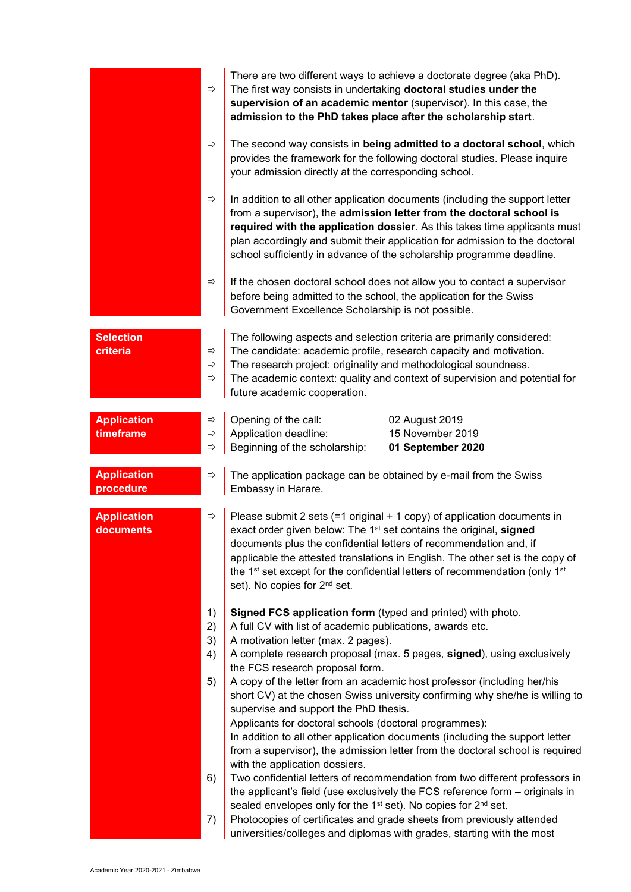|                                 | ⇨                                   | There are two different ways to achieve a doctorate degree (aka PhD).<br>The first way consists in undertaking doctoral studies under the<br>supervision of an academic mentor (supervisor). In this case, the<br>admission to the PhD takes place after the scholarship start.                                                                                                           |
|---------------------------------|-------------------------------------|-------------------------------------------------------------------------------------------------------------------------------------------------------------------------------------------------------------------------------------------------------------------------------------------------------------------------------------------------------------------------------------------|
|                                 | ⇨                                   | The second way consists in being admitted to a doctoral school, which<br>provides the framework for the following doctoral studies. Please inquire<br>your admission directly at the corresponding school.                                                                                                                                                                                |
|                                 | $\Rightarrow$                       | In addition to all other application documents (including the support letter<br>from a supervisor), the admission letter from the doctoral school is<br>required with the application dossier. As this takes time applicants must<br>plan accordingly and submit their application for admission to the doctoral<br>school sufficiently in advance of the scholarship programme deadline. |
|                                 | ⇨                                   | If the chosen doctoral school does not allow you to contact a supervisor<br>before being admitted to the school, the application for the Swiss<br>Government Excellence Scholarship is not possible.                                                                                                                                                                                      |
| <b>Selection</b><br>criteria    | ⇨<br>$\Rightarrow$<br>$\Rightarrow$ | The following aspects and selection criteria are primarily considered:<br>The candidate: academic profile, research capacity and motivation.<br>The research project: originality and methodological soundness.<br>The academic context: quality and context of supervision and potential for<br>future academic cooperation.                                                             |
| <b>Application</b><br>timeframe | ⇨<br>⇨<br>⇨                         | Opening of the call:<br>02 August 2019<br>Application deadline:<br>15 November 2019<br>Beginning of the scholarship:<br>01 September 2020                                                                                                                                                                                                                                                 |
| <b>Application</b><br>procedure | ⇨                                   | The application package can be obtained by e-mail from the Swiss<br>Embassy in Harare.                                                                                                                                                                                                                                                                                                    |
| <b>Application</b>              |                                     | Please submit 2 sets $(=1 \text{ original} + 1 \text{ copy})$ of application documents in                                                                                                                                                                                                                                                                                                 |
| documents                       | ⇨                                   | exact order given below: The 1 <sup>st</sup> set contains the original, signed<br>documents plus the confidential letters of recommendation and, if<br>applicable the attested translations in English. The other set is the copy of<br>the 1 <sup>st</sup> set except for the confidential letters of recommendation (only 1 <sup>st</sup><br>set). No copies for 2 <sup>nd</sup> set.   |
|                                 | 1)<br>2)<br>3)<br>4)                | Signed FCS application form (typed and printed) with photo.<br>A full CV with list of academic publications, awards etc.<br>A motivation letter (max. 2 pages).<br>A complete research proposal (max. 5 pages, signed), using exclusively                                                                                                                                                 |
|                                 | 5)                                  | the FCS research proposal form.<br>A copy of the letter from an academic host professor (including her/his<br>short CV) at the chosen Swiss university confirming why she/he is willing to<br>supervise and support the PhD thesis.<br>Applicants for doctoral schools (doctoral programmes):<br>In addition to all other application documents (including the support letter             |
|                                 | 6)                                  | from a supervisor), the admission letter from the doctoral school is required<br>with the application dossiers.<br>Two confidential letters of recommendation from two different professors in<br>the applicant's field (use exclusively the FCS reference form - originals in<br>sealed envelopes only for the 1 <sup>st</sup> set). No copies for 2 <sup>nd</sup> set.                  |